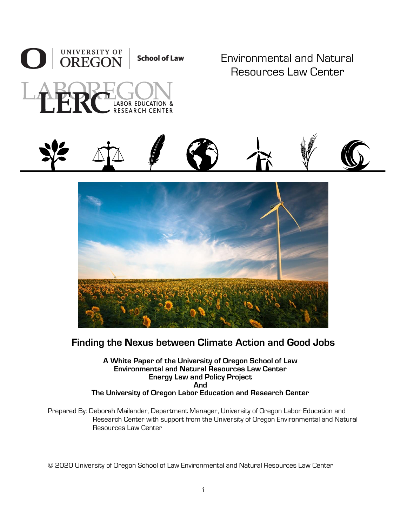

Environmental and Natural Resources Law Center





# **Finding the Nexus between Climate Action and Good Jobs**

**A White Paper of the University of Oregon School of Law Environmental and Natural Resources Law Center Energy Law and Policy Project And The University of Oregon Labor Education and Research Center**

Prepared By: Deborah Mailander, Department Manager, University of Oregon Labor Education and Research Center with support from the University of Oregon Environmental and Natural Resources Law Center

© 2020 University of Oregon School of Law Environmental and Natural Resources Law Center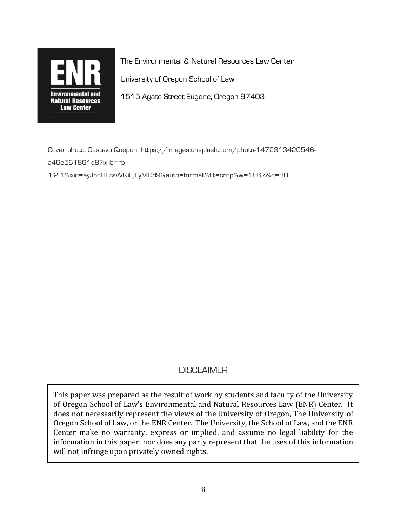

The Environmental & Natural Resources Law Center

University of Oregon School of Law

1515 Agate Street Eugene, Oregon 97403

Cover photo: Gustavo Quepón. https://images.unsplash.com/photo-1472313420546 a46e561861d8?ixlib=rb-

1.2.1&ixid=eyJhcHBfaWQiOjEyMDd9&auto=format&fit=crop&w=1867&q=80

### **DISCLAIMER**

This paper was prepared as the result of work by students and faculty of the University of Oregon School of Law's Environmental and Natural Resources Law (ENR) Center. It does not necessarily represent the views of the University of Oregon, The University of Oregon School of Law, or the ENR Center. The University, the School of Law, and the ENR Center make no warranty, express or implied, and assume no legal liability for the information in this paper; nor does any party represent that the uses of this information will not infringe upon privately owned rights.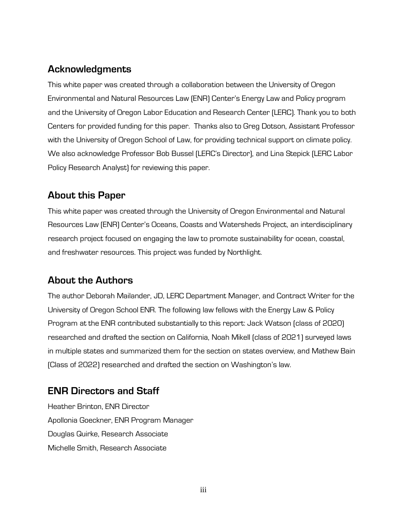# **Acknowledgments**

This white paper was created through a collaboration between the University of Oregon Environmental and Natural Resources Law (ENR) Center's Energy Law and Policy program and the University of Oregon Labor Education and Research Center (LERC). Thank you to both Centers for provided funding for this paper. Thanks also to Greg Dotson, Assistant Professor with the University of Oregon School of Law, for providing technical support on climate policy. We also acknowledge Professor Bob Bussel (LERC's Director), and Lina Stepick (LERC Labor Policy Research Analyst) for reviewing this paper.

# **About this Paper**

This white paper was created through the University of Oregon Environmental and Natural Resources Law (ENR) Center's Oceans, Coasts and Watersheds Project, an interdisciplinary research project focused on engaging the law to promote sustainability for ocean, coastal, and freshwater resources. This project was funded by Northlight.

### **About the Authors**

The author Deborah Mailander, JD, LERC Department Manager, and Contract Writer for the University of Oregon School ENR. The following law fellows with the Energy Law & Policy Program at the ENR contributed substantially to this report: Jack Watson (class of 2020) researched and drafted the section on California, Noah Mikell (class of 2021) surveyed laws in multiple states and summarized them for the section on states overview, and Mathew Bain (Class of 2022) researched and drafted the section on Washington's law.

# **ENR Directors and Staff**

Heather Brinton, ENR Director Apollonia Goeckner, ENR Program Manager Douglas Quirke, Research Associate Michelle Smith, Research Associate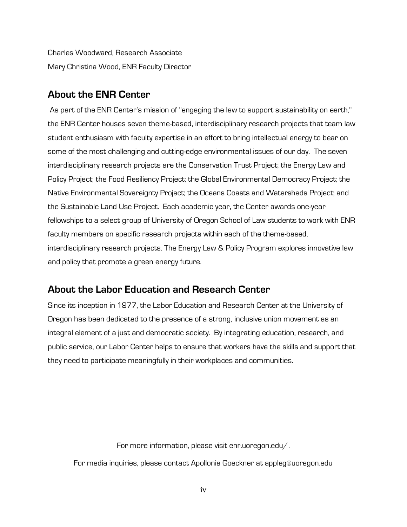Charles Woodward, Research Associate Mary Christina Wood, ENR Faculty Director

### **About the ENR Center**

As part of the ENR Center's mission of "engaging the law to support sustainability on earth," the ENR Center houses seven theme-based, interdisciplinary research projects that team law student enthusiasm with faculty expertise in an effort to bring intellectual energy to bear on some of the most challenging and cutting-edge environmental issues of our day. The seven interdisciplinary research projects are the Conservation Trust Project; the Energy Law and Policy Project; the Food Resiliency Project; the Global Environmental Democracy Project; the Native Environmental Sovereignty Project; the Oceans Coasts and Watersheds Project; and the Sustainable Land Use Project. Each academic year, the Center awards one-year fellowships to a select group of University of Oregon School of Law students to work with ENR faculty members on specific research projects within each of the theme-based, interdisciplinary research projects. The Energy Law & Policy Program explores innovative law and policy that promote a green energy future.

### **About the Labor Education and Research Center**

Since its inception in 1977, the Labor Education and Research Center at the University of Oregon has been dedicated to the presence of a strong, inclusive union movement as an integral element of a just and democratic society. By integrating education, research, and public service, our Labor Center helps to ensure that workers have the skills and support that they need to participate meaningfully in their workplaces and communities.

For more information, please visit enr.uoregon.edu/.

For media inquiries, please contact Apollonia Goeckner at appleg@uoregon.edu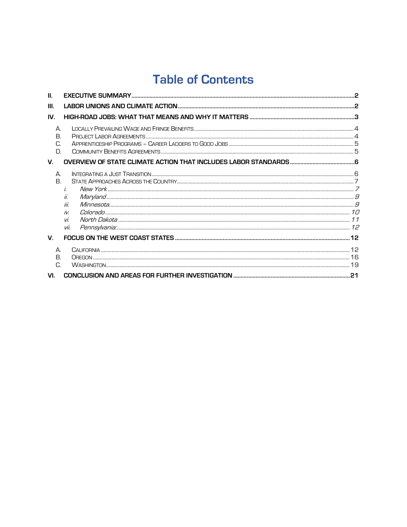# **Table of Contents**

| Ш.                   |                                  |  |
|----------------------|----------------------------------|--|
| III.                 |                                  |  |
| IV.                  |                                  |  |
| А.<br>В.<br>C.<br>D. |                                  |  |
| $V_{\cdot}$          |                                  |  |
| $\Delta$<br>В.       | i.<br>iii.<br>ÍИ.<br>vi.<br>vii. |  |
| $\mathbf{V}$         |                                  |  |
| А.<br>В.<br>C.       |                                  |  |
| VI.                  |                                  |  |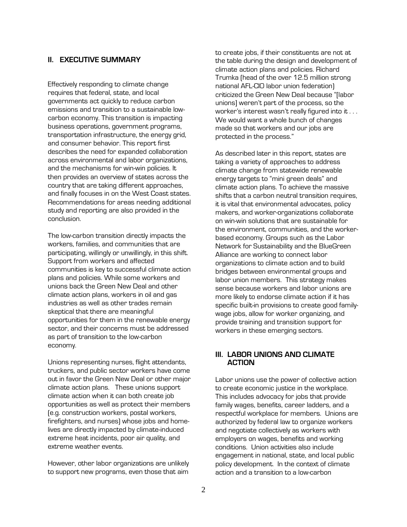#### <span id="page-5-0"></span>**II. EXECUTIVE SUMMARY**

Effectively responding to climate change requires that federal, state, and local governments act quickly to reduce carbon emissions and transition to a sustainable lowcarbon economy. This transition is impacting business operations, government programs, transportation infrastructure, the energy grid, and consumer behavior. This report first describes the need for expanded collaboration across environmental and labor organizations, and the mechanisms for win-win policies. It then provides an overview of states across the country that are taking different approaches, and finally focuses in on the West Coast states. Recommendations for areas needing additional study and reporting are also provided in the conclusion.

The low-carbon transition directly impacts the workers, families, and communities that are participating, willingly or unwillingly, in this shift. Support from workers and affected communities is key to successful climate action plans and policies. While some workers and unions back the Green New Deal and other climate action plans, workers in oil and gas industries as well as other trades remain skeptical that there are meaningful opportunities for them in the renewable energy sector, and their concerns must be addressed as part of transition to the low-carbon economy.

Unions representing nurses, flight attendants, truckers, and public sector workers have come out in favor the Green New Deal or other major climate action plans. These unions support climate action when it can both create job opportunities as well as protect their members (e.g. construction workers, postal workers, firefighters, and nurses) whose jobs and homelives are directly impacted by climate-induced extreme heat incidents, poor air quality, and extreme weather events.

However, other labor organizations are unlikely to support new programs, even those that aim

to create jobs, if their constituents are not at the table during the design and development of climate action plans and policies. Richard Trumka (head of the over 12.5 million strong national AFL-CIO labor union federation) criticized the Green New Deal because "[labor unions] weren't part of the process, so the worker's interest wasn't really figured into it . . . We would want a whole bunch of changes made so that workers and our jobs are protected in the process."

As described later in this report, states are taking a variety of approaches to address climate change from statewide renewable energy targets to "mini green deals" and climate action plans. To achieve the massive shifts that a carbon neutral transition requires, it is vital that environmental advocates, policy makers, and worker-organizations collaborate on win-win solutions that are sustainable for the environment, communities, and the workerbased economy. Groups such as the Labor Network for Sustainability and the BlueGreen Alliance are working to connect labor organizations to climate action and to build bridges between environmental groups and labor union members. This strategy makes sense because workers and labor unions are more likely to endorse climate action if it has specific built-in provisions to create good familywage jobs, allow for worker organizing, and provide training and transition support for workers in these emerging sectors.

#### <span id="page-5-1"></span>**III. LABOR UNIONS AND CLIMATE ACTION**

Labor unions use the power of collective action to create economic justice in the workplace. This includes advocacy for jobs that provide family wages, benefits, career ladders, and a respectful workplace for members. Unions are authorized by federal law to organize workers and negotiate collectively as workers with employers on wages, benefits and working conditions. Union activities also include engagement in national, state, and local public policy development. In the context of climate action and a transition to a low-carbon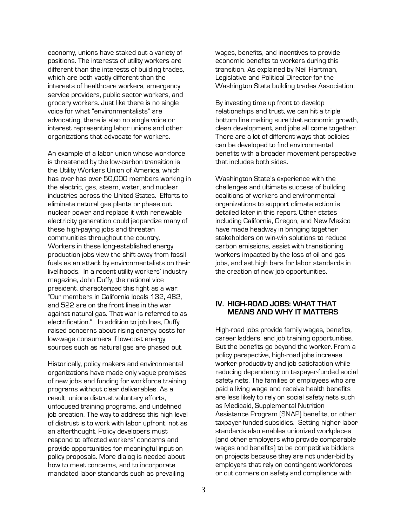economy, unions have staked out a variety of positions. The interests of utility workers are different than the interests of building trades, which are both vastly different than the interests of healthcare workers, emergency service providers, public sector workers, and grocery workers. Just like there is no single voice for what "environmentalists" are advocating, there is also no single voice or interest representing labor unions and other organizations that advocate for workers.

An example of a labor union whose workforce is threatened by the low-carbon transition is the Utility Workers Union of America, which has over has over 50,000 members working in the electric, gas, steam, water, and nuclear industries across the United States. Efforts to eliminate natural gas plants or phase out nuclear power and replace it with renewable electricity generation could jeopardize many of these high-paying jobs and threaten communities throughout the country. Workers in these long-established energy production jobs view the shift away from fossil fuels as an attack by environmentalists on their livelihoods. In a recent utility workers' industry magazine, John Duffy, the national vice president, characterized this fight as a war: "Our members in California locals 132, 482, and 522 are on the front lines in the war against natural gas. That war is referred to as electrification." In addition to job loss, Duffy raised concerns about rising energy costs for low-wage consumers if low-cost energy sources such as natural gas are phased out.

Historically, policy makers and environmental organizations have made only vague promises of new jobs and funding for workforce training programs without clear deliverables. As a result, unions distrust voluntary efforts, unfocused training programs, and undefined job creation. The way to address this high level of distrust is to work with labor upfront, not as an afterthought. Policy developers must respond to affected workers' concerns and provide opportunities for meaningful input on policy proposals. More dialog is needed about how to meet concerns, and to incorporate mandated labor standards such as prevailing

wages, benefits, and incentives to provide economic benefits to workers during this transition. As explained by Neil Hartman, Legislative and Political Director for the Washington State building trades Association:

By investing time up front to develop relationships and trust, we can hit a triple bottom line making sure that economic growth, clean development, and jobs all come together. There are a lot of different ways that policies can be developed to find environmental benefits with a broader movement perspective that includes both sides.

Washington State's experience with the challenges and ultimate success of building coalitions of workers and environmental organizations to support climate action is detailed later in this report. Other states including California, Oregon, and New Mexico have made headway in bringing together stakeholders on win-win solutions to reduce carbon emissions, assist with transitioning workers impacted by the loss of oil and gas jobs, and set high bars for labor standards in the creation of new job opportunities.

#### <span id="page-6-0"></span>**IV. HIGH-ROAD JOBS: WHAT THAT MEANS AND WHY IT MATTERS**

High-road jobs provide family wages, benefits, career ladders, and job training opportunities. But the benefits go beyond the worker. From a policy perspective, high-road jobs increase worker productivity and job satisfaction while reducing dependency on taxpayer-funded social safety nets. The families of employees who are paid a living wage and receive health benefits are less likely to rely on social safety nets such as Medicaid, Supplemental Nutrition Assistance Program (SNAP) benefits, or other taxpayer-funded subsidies. Setting higher labor standards also enables unionized workplaces (and other employers who provide comparable wages and benefits) to be competitive bidders on projects because they are not under-bid by employers that rely on contingent workforces or cut corners on safety and compliance with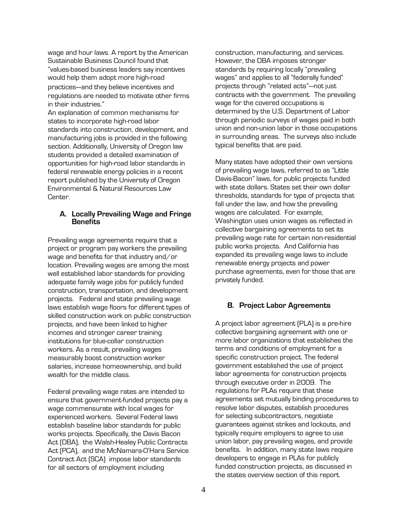wage and hour laws. A report by the American Sustainable Business Council found that "values-based business leaders say incentives would help them adopt more high-road practices—and they believe incentives and regulations are needed to motivate other firms in their industries."

An explanation of common mechanisms for states to incorporate high-road labor standards into construction, development, and manufacturing jobs is provided in the following section. Additionally, University of Oregon law students provided a detailed examination of opportunities for high-road labor standards in federal renewable energy policies in a recent report published by the University of Oregon Environmental & Natural Resources Law **Center** 

#### <span id="page-7-0"></span>**A. Locally Prevailing Wage and Fringe Benefits**

Prevailing wage agreements require that a project or program pay workers the prevailing wage and benefits for that industry and/or location. Prevailing wages are among the most well established labor standards for providing adequate family wage jobs for publicly funded construction, transportation, and development projects. Federal and state prevailing wage laws establish wage floors for different types of skilled construction work on public construction projects, and have been linked to higher incomes and stronger career training institutions for blue-collar construction workers. As a result, prevailing wages measurably boost construction worker salaries, increase homeownership, and build wealth for the middle class.

Federal prevailing wage rates are intended to ensure that government-funded projects pay a wage commensurate with local wages for experienced workers. Several Federal laws establish baseline labor standards for public works projects. Specifically, the Davis Bacon Act (DBA), the Walsh-Healey Public Contracts Act (PCA), and the McNamara-O'Hara Service Contract Act (SCA) impose labor standards for all sectors of employment including

construction, manufacturing, and services. However, the DBA imposes stronger standards by requiring locally "prevailing wages" and applies to all "federally funded" projects through "related acts"—not just contracts with the government. The prevailing wage for the covered occupations is determined by the U.S. Department of Labor through periodic surveys of wages paid in both union and non-union labor in those occupations in surrounding areas. The surveys also include typical benefits that are paid.

Many states have adopted their own versions of prevailing wage laws, referred to as "Little Davis-Bacon" laws, for public projects funded with state dollars. States set their own dollar thresholds, standards for type of projects that fall under the law, and how the prevailing wages are calculated. For example, Washington uses union wages as reflected in collective bargaining agreements to set its prevailing wage rate for certain non-residential public works projects. And California has expanded its prevailing wage laws to include renewable energy projects and power purchase agreements, even for those that are privately funded.

#### <span id="page-7-1"></span>**B. Project Labor Agreements**

A project labor agreement (PLA) is a pre-hire collective bargaining agreement with one or more labor organizations that establishes the terms and conditions of employment for a specific construction project. The federal government established the use of project labor agreements for construction projects through executive order in 2009. The regulations for PLAs require that these agreements set mutually binding procedures to resolve labor disputes, establish procedures for selecting subcontractors, negotiate guarantees against strikes and lockouts, and typically require employers to agree to use union labor, pay prevailing wages, and provide benefits. In addition, many state laws require developers to engage in PLAs for publicly funded construction projects, as discussed in the states overview section of this report.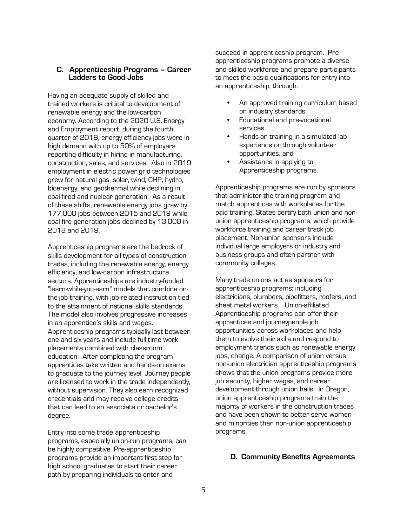#### <span id="page-8-0"></span>**C. Apprenticeship Programs – Career Ladders to Good Jobs**

Having an adequate supply of skilled and trained workers is critical to development of renewable energy and the low-carbon economy. According to the 2020 U.S. Energy and Employment report, during the fourth quarter of 2019, energy efficiency jobs were in high demand with up to 50% of employers reporting difficulty in hiring in manufacturing, construction, sales, and services. Also in 2019 employment in electric power grid technologies grew for natural gas, solar, wind, CHP, hydro, bioenergy, and geothermal while declining in coal-fired and nuclear generation. As a result of these shifts, renewable energy jobs grew by 177,000 jobs between 2015 and 2019 while coal fire generation jobs declined by 13,000 in 2018 and 2019.

Apprenticeship programs are the bedrock of skills development for all types of construction trades, including the renewable energy, energy efficiency, and low-carbon infrastructure sectors. Apprenticeships are industry-funded, "learn-while-you-earn" models that combine onthe-job training, with job-related instruction tied to the attainment of national skills standards. The model also involves progressive increases in an apprentice's skills and wages. Apprenticeship programs typically last between one and six years and include full time work placements combined with classroom education. After completing the program apprentices take written and hands-on exams to graduate to the journey level. Journey people are licensed to work in the trade independently, without supervision. They also earn recognized credentials and may receive college credits that can lead to an associate or bachelor's degree.

Entry into some trade apprenticeship programs, especially union-run programs, can be highly competitive. Pre-apprenticeship programs provide an important first step for high school graduates to start their career path by preparing individuals to enter and

succeed in apprenticeship program. Preapprenticeship programs promote a diverse and skilled workforce and prepare participants to meet the basic qualifications for entry into an apprenticeship, through:

- An approved training curriculum based on industry standards,
- Educational and pre-vocational services,
- Hands-on training in a simulated lab experience or through volunteer opportunities, and
- Assistance in applying to Apprenticeship programs.

Apprenticeship programs are run by sponsors that administer the training program and match apprentices with workplaces for the paid training. States certify both union and nonunion apprenticeship programs, which provide workforce training and career track job placement. Non-union sponsors include individual large employers or industry and business groups and often partner with community colleges.

Many trade unions act as sponsors for apprenticeship programs; including electricians, plumbers, pipefitters, roofers, and sheet metal workers. Union-affiliated Apprenticeship programs can offer their apprentices and journeypeople job opportunities across workplaces and help them to evolve their skills and respond to employment trends such as renewable energy jobs, change. A comparison of union versus non-union electrician apprenticeship programs shows that the union programs provide more job security, higher wages, and career development through union halls. In Oregon, union apprenticeship programs train the majority of workers in the construction trades and have been shown to better serve women and minorities than non-union apprenticeship programs.

#### <span id="page-8-1"></span>**D. Community Benefits Agreements**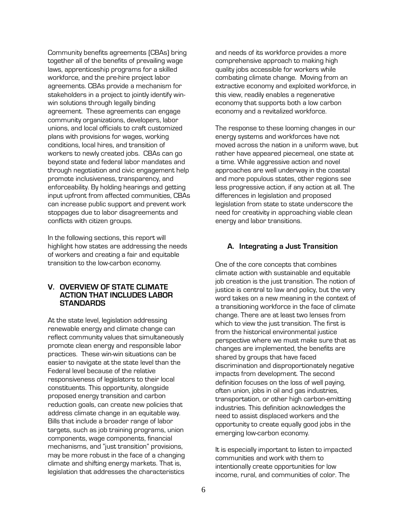Community benefits agreements (CBAs) bring together all of the benefits of prevailing wage laws, apprenticeship programs for a skilled workforce, and the pre-hire project labor agreements. CBAs provide a mechanism for stakeholders in a project to jointly identify winwin solutions through legally binding agreement. These agreements can engage community organizations, developers, labor unions, and local officials to craft customized plans with provisions for wages, working conditions, local hires, and transition of workers to newly created jobs. CBAs can go beyond state and federal labor mandates and through negotiation and civic engagement help promote inclusiveness, transparency, and enforceability. By holding hearings and getting input upfront from affected communities, CBAs can increase public support and prevent work stoppages due to labor disagreements and conflicts with citizen groups.

In the following sections, this report will highlight how states are addressing the needs of workers and creating a fair and equitable transition to the low-carbon economy.

#### <span id="page-9-0"></span>**V. OVERVIEW OF STATE CLIMATE ACTION THAT INCLUDES LABOR STANDARDS**

At the state level, legislation addressing renewable energy and climate change can reflect community values that simultaneously promote clean energy and responsible labor practices. These win-win situations can be easier to navigate at the state level than the Federal level because of the relative responsiveness of legislators to their local constituents. This opportunity, alongside proposed energy transition and carbon reduction goals, can create new policies that address climate change in an equitable way. Bills that include a broader range of labor targets, such as job training programs, union components, wage components, financial mechanisms, and "just transition" provisions, may be more robust in the face of a changing climate and shifting energy markets. That is, legislation that addresses the characteristics

and needs of its workforce provides a more comprehensive approach to making high quality jobs accessible for workers while combating climate change. Moving from an extractive economy and exploited workforce, in this view, readily enables a regenerative economy that supports both a low carbon economy and a revitalized workforce.

The response to these looming changes in our energy systems and workforces have not moved across the nation in a uniform wave, but rather have appeared piecemeal, one state at a time. While aggressive action and novel approaches are well underway in the coastal and more populous states, other regions see less progressive action, if any action at all. The differences in legislation and proposed legislation from state to state underscore the need for creativity in approaching viable clean energy and labor transitions.

#### <span id="page-9-1"></span>**A. Integrating a Just Transition**

One of the core concepts that combines climate action with sustainable and equitable job creation is the just transition. The notion of justice is central to law and policy, but the very word takes on a new meaning in the context of a transitioning workforce in the face of climate change. There are at least two lenses from which to view the just transition. The first is from the historical environmental justice perspective where we must make sure that as changes are implemented, the benefits are shared by groups that have faced discrimination and disproportionately negative impacts from development. The second definition focuses on the loss of well paying, often union, jobs in oil and gas industries, transportation, or other high carbon-emitting industries. This definition acknowledges the need to assist displaced workers and the opportunity to create equally good jobs in the emerging low-carbon economy.

It is especially important to listen to impacted communities and work with them to intentionally create opportunities for low income, rural, and communities of color. The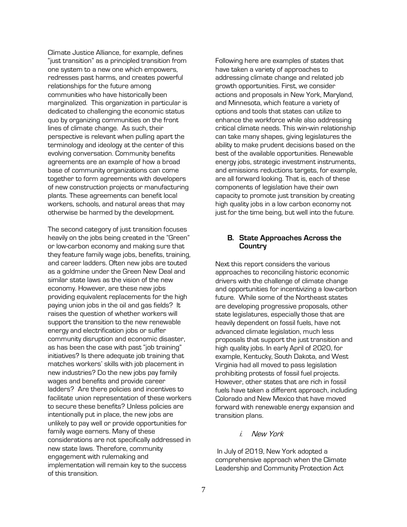Climate Justice Alliance, for example, defines "just transition" as a principled transition from one system to a new one which empowers, redresses past harms, and creates powerful relationships for the future among communities who have historically been marginalized. This organization in particular is dedicated to challenging the economic status quo by organizing communities on the front lines of climate change. As such, their perspective is relevant when pulling apart the terminology and ideology at the center of this evolving conversation. Community benefits agreements are an example of how a broad base of community organizations can come together to form agreements with developers of new construction projects or manufacturing plants. These agreements can benefit local workers, schools, and natural areas that may otherwise be harmed by the development.

The second category of just transition focuses heavily on the jobs being created in the "Green" or low-carbon economy and making sure that they feature family wage jobs, benefits, training, and career ladders. Often new jobs are touted as a goldmine under the Green New Deal and similar state laws as the vision of the new economy. However, are these new jobs providing equivalent replacements for the high paying union jobs in the oil and gas fields? It raises the question of whether workers will support the transition to the new renewable energy and electrification jobs or suffer community disruption and economic disaster, as has been the case with past "job training" initiatives? Is there adequate job training that matches workers' skills with job placement in new industries? Do the new jobs pay family wages and benefits and provide career ladders? Are there policies and incentives to facilitate union representation of these workers to secure these benefits? Unless policies are intentionally put in place, the new jobs are unlikely to pay well or provide opportunities for family wage earners. Many of these considerations are not specifically addressed in new state laws. Therefore, community engagement with rulemaking and implementation will remain key to the success of this transition.

Following here are examples of states that have taken a variety of approaches to addressing climate change and related job growth opportunities. First, we consider actions and proposals in New York, Maryland, and Minnesota, which feature a variety of options and tools that states can utilize to enhance the workforce while also addressing critical climate needs. This win-win relationship can take many shapes, giving legislatures the ability to make prudent decisions based on the best of the available opportunities. Renewable energy jobs, strategic investment instruments, and emissions reductions targets, for example, are all forward looking. That is, each of these components of legislation have their own capacity to promote just transition by creating high quality jobs in a low carbon economy not just for the time being, but well into the future.

#### <span id="page-10-0"></span>**B. State Approaches Across the Country**

Next this report considers the various approaches to reconciling historic economic drivers with the challenge of climate change and opportunities for incentivizing a low-carbon future. While some of the Northeast states are developing progressive proposals, other state legislatures, especially those that are heavily dependent on fossil fuels, have not advanced climate legislation, much less proposals that support the just transition and high quality jobs. In early April of 2020, for example, Kentucky, South Dakota, and West Virginia had all moved to pass legislation prohibiting protests of fossil fuel projects. However, other states that are rich in fossil fuels have taken a different approach, including Colorado and New Mexico that have moved forward with renewable energy expansion and transition plans.

#### i. New York

<span id="page-10-1"></span>In July of 2019, New York adopted a comprehensive approach when the Climate Leadership and Community Protection Act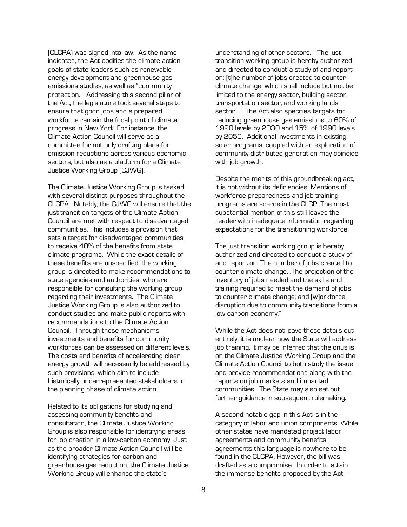(CLCPA) was signed into law. As the name indicates, the Act codifies the climate action goals of state leaders such as renewable energy development and greenhouse gas emissions studies, as well as "community protection." Addressing this second pillar of the Act, the legislature took several steps to ensure that good jobs and a prepared workforce remain the focal point of climate progress in New York. For instance, the Climate Action Council will serve as a committee for not only drafting plans for emission reductions across various economic sectors, but also as a platform for a Climate Justice Working Group (CJWG).

The Climate Justice Working Group is tasked with several distinct purposes throughout the CLCPA. Notably, the CJWG will ensure that the just transition targets of the Climate Action Council are met with respect to disadvantaged communities. This includes a provision that sets a target for disadvantaged communities to receive 40% of the benefits from state climate programs. While the exact details of these benefits are unspecified, the working group is directed to make recommendations to state agencies and authorities, who are responsible for consulting the working group regarding their investments. The Climate Justice Working Group is also authorized to conduct studies and make public reports with recommendations to the Climate Action Council. Through these mechanisms, investments and benefits for community workforces can be assessed on different levels. The costs and benefits of accelerating clean energy growth will necessarily be addressed by such provisions, which aim to include historically underrepresented stakeholders in the planning phase of climate action.

Related to its obligations for studying and assessing community benefits and consultation, the Climate Justice Working Group is also responsible for identifying areas for job creation in a low-carbon economy. Just as the broader Climate Action Council will be identifying strategies for carbon and greenhouse gas reduction, the Climate Justice Working Group will enhance the state's

understanding of other sectors. "The just transition working group is hereby authorized and directed to conduct a study of and report on: [t]he number of jobs created to counter climate change, which shall include but not be limited to the energy sector, building sector, transportation sector, and working lands sector…" The Act also specifies targets for reducing greenhouse gas emissions to 60% of 1990 levels by 2030 and 15% of 1990 levels by 2050. Additional investments in existing solar programs, coupled with an exploration of community distributed generation may coincide with job growth.

Despite the merits of this groundbreaking act, it is not without its deficiencies. Mentions of workforce preparedness and job training programs are scarce in the CLCP. The most substantial mention of this still leaves the reader with inadequate information regarding expectations for the transitioning workforce:

The just transition working group is hereby authorized and directed to conduct a study of and report on: The number of jobs created to counter climate change…The projection of the inventory of jobs needed and the skills and training required to meet the demand of jobs to counter climate change; and [w]orkforce disruption due to community transitions from a low carbon economy."

While the Act does not leave these details out entirely, it is unclear how the State will address job training. It may be inferred that the onus is on the Climate Justice Working Group and the Climate Action Council to both study the issue and provide recommendations along with the reports on job markets and impacted communities. The State may also set out further guidance in subsequent rulemaking.

A second notable gap in this Act is in the category of labor and union components. While other states have mandated project labor agreements and community benefits agreements this language is nowhere to be found in the CLCPA. However, the bill was drafted as a compromise. In order to attain the immense benefits proposed by the Act –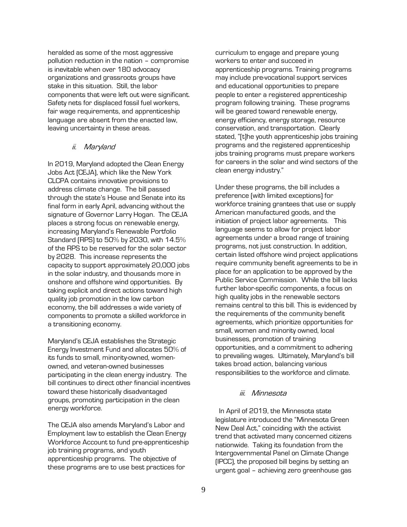heralded as some of the most aggressive pollution reduction in the nation – compromise is inevitable when over 180 advocacy organizations and grassroots groups have stake in this situation. Still, the labor components that were left out were significant. Safety nets for displaced fossil fuel workers, fair wage requirements, and apprenticeship language are absent from the enacted law, leaving uncertainty in these areas.

#### ii. Maryland

<span id="page-12-0"></span>In 2019, Maryland adopted the Clean Energy Jobs Act (CEJA), which like the New York CLCPA contains innovative provisions to address climate change. The bill passed through the state's House and Senate into its final form in early April, advancing without the signature of Governor Larry Hogan. The CEJA places a strong focus on renewable energy, increasing Maryland's Renewable Portfolio Standard (RPS) to 50% by 2030, with 14.5% of the RPS to be reserved for the solar sector by 2028. This increase represents the capacity to support approximately 20,000 jobs in the solar industry, and thousands more in onshore and offshore wind opportunities. By taking explicit and direct actions toward high quality job promotion in the low carbon economy, the bill addresses a wide variety of components to promote a skilled workforce in a transitioning economy.

Maryland's CEJA establishes the Strategic Energy Investment Fund and allocates 50% of its funds to small, minority-owned, womenowned, and veteran-owned businesses participating in the clean energy industry. The bill continues to direct other financial incentives toward these historically disadvantaged groups, promoting participation in the clean energy workforce.

The CEJA also amends Maryland's Labor and Employment law to establish the Clean Energy Workforce Account to fund pre-apprenticeship job training programs, and youth apprenticeship programs. The objective of these programs are to use best practices for

curriculum to engage and prepare young workers to enter and succeed in apprenticeship programs. Training programs may include pre-vocational support services and educational opportunities to prepare people to enter a registered apprenticeship program following training. These programs will be geared toward renewable energy, energy efficiency, energy storage, resource conservation, and transportation. Clearly stated, "[t]he youth apprenticeship jobs training programs and the registered apprenticeship jobs training programs must prepare workers for careers in the solar and wind sectors of the clean energy industry."

Under these programs, the bill includes a preference (with limited exceptions) for workforce training grantees that use or supply American manufactured goods, and the initiation of project labor agreements. This language seems to allow for project labor agreements under a broad range of training programs, not just construction. In addition, certain listed offshore wind project applications require community benefit agreements to be in place for an application to be approved by the Public Service Commission. While the bill lacks further labor-specific components, a focus on high quality jobs in the renewable sectors remains central to this bill. This is evidenced by the requirements of the community benefit agreements, which prioritize opportunities for small, women and minority owned, local businesses, promotion of training opportunities, and a commitment to adhering to prevailing wages. Ultimately, Maryland's bill takes broad action, balancing various responsibilities to the workforce and climate.

#### iii. Minnesota

<span id="page-12-1"></span> In April of 2019, the Minnesota state legislature introduced the "Minnesota Green New Deal Act," coinciding with the activist trend that activated many concerned citizens nationwide. Taking its foundation from the Intergovernmental Panel on Climate Change (IPCC), the proposed bill begins by setting an urgent goal – achieving zero greenhouse gas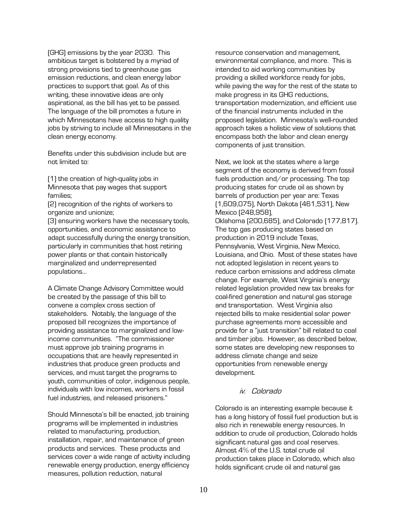(GHG) emissions by the year 2030. This ambitious target is bolstered by a myriad of strong provisions tied to greenhouse gas emission reductions, and clean energy labor practices to support that goal. As of this writing, these innovative ideas are only aspirational, as the bill has yet to be passed. The language of the bill promotes a future in which Minnesotans have access to high quality jobs by striving to include all Minnesotans in the clean energy economy.

Benefits under this subdivision include but are not limited to:

(1) the creation of high-quality jobs in Minnesota that pay wages that support families;

(2) recognition of the rights of workers to organize and unionize;

(3) ensuring workers have the necessary tools, opportunities, and economic assistance to adapt successfully during the energy transition, particularly in communities that host retiring power plants or that contain historically marginalized and underrepresented populations…

A Climate Change Advisory Committee would be created by the passage of this bill to convene a complex cross section of stakeholders. Notably, the language of the proposed bill recognizes the importance of providing assistance to marginalized and lowincome communities. "The commissioner must approve job training programs in occupations that are heavily represented in industries that produce green products and services, and must target the programs to youth, communities of color, indigenous people, individuals with low incomes, workers in fossil fuel industries, and released prisoners."

Should Minnesota's bill be enacted, job training programs will be implemented in industries related to manufacturing, production, installation, repair, and maintenance of green products and services. These products and services cover a wide range of activity including renewable energy production, energy efficiency measures, pollution reduction, natural

resource conservation and management, environmental compliance, and more. This is intended to aid working communities by providing a skilled workforce ready for jobs, while paving the way for the rest of the state to make progress in its GHG reductions, transportation modernization, and efficient use of the financial instruments included in the proposed legislation. Minnesota's well-rounded approach takes a holistic view of solutions that encompass both the labor and clean energy components of just transition.

Next, we look at the states where a large segment of the economy is derived from fossil fuels production and/or processing. The top producing states for crude oil as shown by barrels of production per year are: Texas (1,609,075), North Dakota (461,531), New Mexico (248,958), Oklahoma (200,685), and Colorado (177,817). The top gas producing states based on production in 2019 include Texas, Pennsylvania, West Virginia, New Mexico, Louisiana, and Ohio. Most of these states have not adopted legislation in recent years to reduce carbon emissions and address climate change. For example, West Virginia's energy related legislation provided new tax breaks for coal-fired generation and natural gas storage and transportation. West Virginia also rejected bills to make residential solar power purchase agreements more accessible and provide for a "just transition" bill related to coal and timber jobs. However, as described below, some states are developing new responses to address climate change and seize opportunities from renewable energy development.

#### iv. Colorado

<span id="page-13-0"></span>Colorado is an interesting example because it has a long history of fossil fuel production but is also rich in renewable energy resources. In addition to crude oil production, Colorado holds significant natural gas and coal reserves. Almost 4% of the U.S. total crude oil production takes place in Colorado, which also holds significant crude oil and natural gas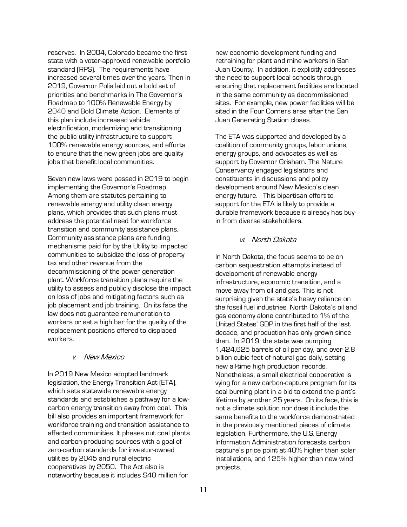reserves. In 2004, Colorado became the first state with a voter-approved renewable portfolio standard (RPS). The requirements have increased several times over the years. Then in 2019, Governor Polis laid out a bold set of priorities and benchmarks in The Governor's Roadmap to 100% Renewable Energy by 2040 and Bold Climate Action. Elements of this plan include increased vehicle electrification, modernizing and transitioning the public utility infrastructure to support 100% renewable energy sources, and efforts to ensure that the new green jobs are quality iobs that benefit local communities.

Seven new laws were passed in 2019 to begin implementing the Governor's Roadmap. Among them are statutes pertaining to renewable energy and utility clean energy plans, which provides that such plans must address the potential need for workforce transition and community assistance plans. Community assistance plans are funding mechanisms paid for by the Utility to impacted communities to subsidize the loss of property tax and other revenue from the decommissioning of the power generation plant. Workforce transition plans require the utility to assess and publicly disclose the impact on loss of jobs and mitigating factors such as job placement and job training. On its face the law does not guarantee remuneration to workers or set a high bar for the quality of the replacement positions offered to displaced workers.

#### v. New Mexico

In 2019 New Mexico adopted landmark legislation, the Energy Transition Act (ETA), which sets statewide renewable energy standards and establishes a pathway for a lowcarbon energy transition away from coal. This bill also provides an important framework for workforce training and transition assistance to affected communities. It phases out coal plants and carbon-producing sources with a goal of zero-carbon standards for investor-owned utilities by 2045 and rural electric cooperatives by 2050. The Act also is noteworthy because it includes \$40 million for

new economic development funding and retraining for plant and mine workers in San Juan County. In addition, it explicitly addresses the need to support local schools through ensuring that replacement facilities are located in the same community as decommissioned sites. For example, new power facilities will be sited in the Four Corners area after the San Juan Generating Station closes.

The ETA was supported and developed by a coalition of community groups, labor unions, energy groups, and advocates as well as support by Governor Grisham. The Nature Conservancy engaged legislators and constituents in discussions and policy development around New Mexico's clean energy future. This bipartisan effort to support for the ETA is likely to provide a durable framework because it already has buyin from diverse stakeholders.

#### vi. North Dakota

<span id="page-14-0"></span>In North Dakota, the focus seems to be on carbon sequestration attempts instead of development of renewable energy infrastructure, economic transition, and a move away from oil and gas. This is not surprising given the state's heavy reliance on the fossil fuel industries. North Dakota's oil and gas economy alone contributed to 1% of the United States' GDP in the first half of the last decade, and production has only grown since then. In 2019, the state was pumping 1,424,625 barrels of oil per day, and over 2.8 billion cubic feet of natural gas daily, setting new all-time high production records. Nonetheless, a small electrical cooperative is vying for a new carbon-capture program for its coal burning plant in a bid to extend the plant's lifetime by another 25 years. On its face, this is not a climate solution nor does it include the same benefits to the workforce demonstrated in the previously mentioned pieces of climate legislation. Furthermore, the U.S. Energy Information Administration forecasts carbon capture's price point at 40% higher than solar installations, and 125% higher than new wind projects.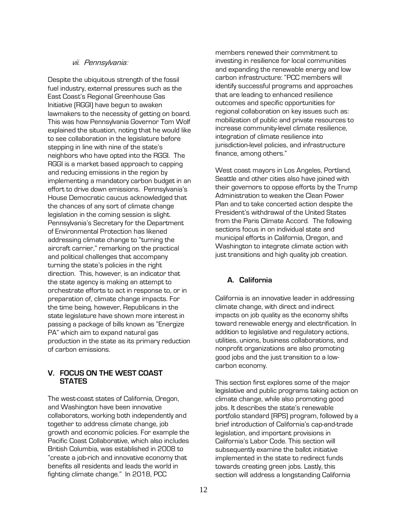#### vii. Pennsylvania:

<span id="page-15-0"></span>Despite the ubiquitous strength of the fossil fuel industry, external pressures such as the East Coast's Regional Greenhouse Gas Initiative (RGGI) have begun to awaken lawmakers to the necessity of getting on board. This was how Pennsylvania Governor Tom Wolf explained the situation, noting that he would like to see collaboration in the legislature before stepping in line with nine of the state's neighbors who have opted into the RGGI. The RGGI is a market based approach to capping and reducing emissions in the region by implementing a mandatory carbon budget in an effort to drive down emissions. Pennsylvania's House Democratic caucus acknowledged that the chances of any sort of climate change legislation in the coming session is slight. Pennsylvania's Secretary for the Department of Environmental Protection has likened addressing climate change to "turning the aircraft carrier," remarking on the practical and political challenges that accompany turning the state's policies in the right direction. This, however, is an indicator that the state agency is making an attempt to orchestrate efforts to act in response to, or in preparation of, climate change impacts. For the time being, however, Republicans in the state legislature have shown more interest in passing a package of bills known as "Energize PA" which aim to expand natural gas production in the state as its primary reduction of carbon emissions.

#### <span id="page-15-1"></span>**V. FOCUS ON THE WEST COAST STATES**

The west-coast states of California, Oregon, and Washington have been innovative collaborators, working both independently and together to address climate change, job growth and economic policies. For example the Pacific Coast Collaborative, which also includes British Columbia, was established in 2008 to "create a job-rich and innovative economy that benefits all residents and leads the world in fighting climate change." In 2018, PCC

members renewed their commitment to investing in resilience for local communities and expanding the renewable energy and low carbon infrastructure: "PCC members will identify successful programs and approaches that are leading to enhanced resilience outcomes and specific opportunities for regional collaboration on key issues such as: mobilization of public and private resources to increase community-level climate resilience, integration of climate resilience into jurisdiction-level policies, and infrastructure finance, among others."

West coast mayors in Los Angeles, Portland, Seattle and other cities also have joined with their governors to oppose efforts by the Trump Administration to weaken the Clean Power Plan and to take concerted action despite the President's withdrawal of the United States from the Paris Climate Accord. The following sections focus in on individual state and municipal efforts in California, Oregon, and Washington to integrate climate action with just transitions and high quality job creation.

#### <span id="page-15-2"></span>**A. California**

California is an innovative leader in addressing climate change, with direct and indirect impacts on job quality as the economy shifts toward renewable energy and electrification. In addition to legislative and regulatory actions, utilities, unions, business collaborations, and nonprofit organizations are also promoting good jobs and the just transition to a lowcarbon economy.

This section first explores some of the major legislative and public programs taking action on climate change, while also promoting good jobs. It describes the state's renewable portfolio standard (RPS) program, followed by a brief introduction of California's cap-and-trade legislation, and important provisions in California's Labor Code. This section will subsequently examine the ballot initiative implemented in the state to redirect funds towards creating green jobs. Lastly, this section will address a longstanding California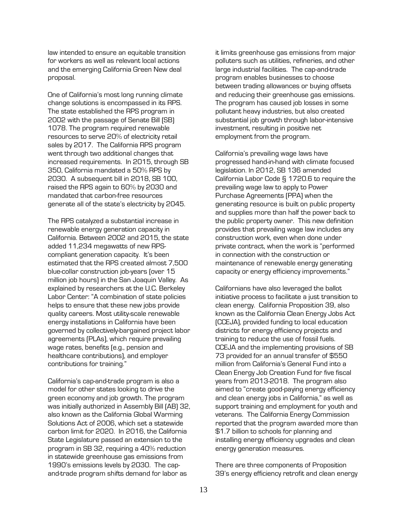law intended to ensure an equitable transition for workers as well as relevant local actions and the emerging California Green New deal proposal.

One of California's most long running climate change solutions is encompassed in its RPS. The state established the RPS program in 2002 with the passage of Senate Bill (SB) 1078. The program required renewable resources to serve 20% of electricity retail sales by 2017. The California RPS program went through two additional changes that increased requirements. In 2015, through SB 350, California mandated a 50% RPS by 2030. A subsequent bill in 2018, SB 100, raised the RPS again to 60% by 2030 and mandated that carbon-free resources generate all of the state's electricity by 2045.

The RPS catalyzed a substantial increase in renewable energy generation capacity in California. Between 2002 and 2015, the state added 11,234 megawatts of new RPScompliant generation capacity. It's been estimated that the RPS created almost 7,500 blue-collar construction job-years (over 15 million job hours) in the San Joaquin Valley. As explained by researchers at the U.C. Berkeley Labor Center: "A combination of state policies helps to ensure that these new jobs provide quality careers. Most utility-scale renewable energy installations in California have been governed by collectively-bargained project labor agreements (PLAs), which require prevailing wage rates, benefits (e.g., pension and healthcare contributions), and employer contributions for training."

California's cap-and-trade program is also a model for other states looking to drive the green economy and job growth. The program was initially authorized in Assembly Bill (AB) 32, also known as the California Global Warming Solutions Act of 2006, which set a statewide carbon limit for 2020. In 2016, the California State Legislature passed an extension to the program in SB 32, requiring a 40% reduction in statewide greenhouse gas emissions from 1990's emissions levels by 2030. The capand-trade program shifts demand for labor as

it limits greenhouse gas emissions from major polluters such as utilities, refineries, and other large industrial facilities. The cap-and-trade program enables businesses to choose between trading allowances or buying offsets and reducing their greenhouse gas emissions. The program has caused job losses in some pollutant heavy industries, but also created substantial job growth through labor-intensive investment, resulting in positive net employment from the program.

California's prevailing wage laws have progressed hand-in-hand with climate focused legislation. In 2012, SB 136 amended California Labor Code § 1720.6 to require the prevailing wage law to apply to Power Purchase Agreements (PPA) when the generating resource is built on public property and supplies more than half the power back to the public property owner. This new definition provides that prevailing wage law includes any construction work, even when done under private contract, when the work is "performed in connection with the construction or maintenance of renewable energy generating capacity or energy efficiency improvements."

Californians have also leveraged the ballot initiative process to facilitate a just transition to clean energy. California Proposition 39, also known as the California Clean Energy Jobs Act (CCEJA), provided funding to local education districts for energy efficiency projects and training to reduce the use of fossil fuels. CCEJA and the implementing provisions of SB 73 provided for an annual transfer of \$550 million from California's General Fund into a Clean Energy Job Creation Fund for five fiscal years from 2013-2018. The program also aimed to "create good-paying energy efficiency and clean energy jobs in California," as well as support training and employment for youth and veterans. The California Energy Commission reported that the program awarded more than \$1.7 billion to schools for planning and installing energy efficiency upgrades and clean energy generation measures.

There are three components of Proposition 39's energy efficiency retrofit and clean energy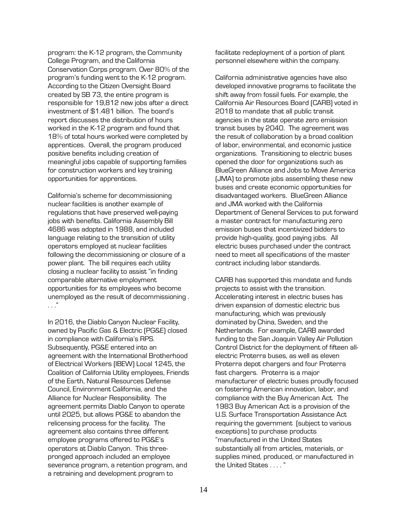program: the K-12 program, the Community College Program, and the California Conservation Corps program. Over 80% of the program's funding went to the K-12 program. According to the Citizen Oversight Board created by SB 73, the entire program is responsible for 19,812 new jobs after a direct investment of \$1.481 billion. The board's report discusses the distribution of hours worked in the K-12 program and found that 18% of total hours worked were completed by apprentices. Overall, the program produced positive benefits including creation of meaningful jobs capable of supporting families for construction workers and key training opportunities for apprentices.

California's scheme for decommissioning nuclear facilities is another example of regulations that have preserved well-paying iobs with benefits. California Assembly Bill 4686 was adopted in 1988, and included language relating to the transition of utility operators employed at nuclear facilities following the decommissioning or closure of a power plant. The bill requires each utility closing a nuclear facility to assist "in finding comparable alternative employment opportunities for its employees who become unemployed as the result of decommissioning . . . ."

In 2016, the Diablo Canyon Nuclear Facility, owned by Pacific Gas & Electric (PG&E) closed in compliance with California's RPS. Subsequently, PG&E entered into an agreement with the International Brotherhood of Electrical Workers (IBEW) Local 1245, the Coalition of California Utility employees, Friends of the Earth, Natural Resources Defense Council, Environment California, and the Alliance for Nuclear Responsibility. The agreement permits Diablo Canyon to operate until 2025, but allows PG&E to abandon the relicensing process for the facility. The agreement also contains three different employee programs offered to PG&E's operators at Diablo Canyon. This threepronged approach included an employee severance program, a retention program, and a retraining and development program to

facilitate redeployment of a portion of plant personnel elsewhere within the company.

California administrative agencies have also developed innovative programs to facilitate the shift away from fossil fuels. For example, the California Air Resources Board (CARB) voted in 2018 to mandate that all public transit agencies in the state operate zero emission transit buses by 2040. The agreement was the result of collaboration by a broad coalition of labor, environmental, and economic justice organizations. Transitioning to electric buses opened the door for organizations such as BlueGreen Alliance and Jobs to Move America (JMA) to promote jobs assembling these new buses and create economic opportunities for disadvantaged workers. BlueGreen Alliance and JMA worked with the California Department of General Services to put forward a master contract for manufacturing zero emission buses that incentivized bidders to provide high-quality, good paying jobs. All electric buses purchased under the contract need to meet all specifications of the master contract including labor standards.

CARB has supported this mandate and funds projects to assist with the transition. Accelerating interest in electric buses has driven expansion of domestic electric bus manufacturing, which was previously dominated by China, Sweden, and the Netherlands. For example, CARB awarded funding to the San Joaquin Valley Air Pollution Control District for the deployment of fifteen allelectric Proterra buses, as well as eleven Proterra depot chargers and four Proterra fast chargers. Proterra is a major manufacturer of electric buses proudly focused on fostering American innovation, labor, and compliance with the Buy American Act. The 1983 Buy American Act is a provision of the U.S. Surface Transportation Assistance Act requiring the government (subject to various exceptions) to purchase products "manufactured in the United States substantially all from articles, materials, or supplies mined, produced, or manufactured in the United States . . . . "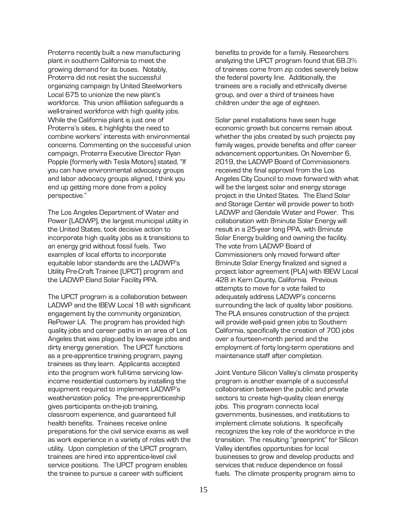Proterra recently built a new manufacturing plant in southern California to meet the growing demand for its buses. Notably, Proterra did not resist the successful organizing campaign by United Steelworkers Local 675 to unionize the new plant's workforce. This union affiliation safeguards a well-trained workforce with high quality jobs. While the California plant is just one of Proterra's sites, it highlights the need to combine workers' interests with environmental concerns. Commenting on the successful union campaign, Proterra Executive Director Ryan Popple (formerly with Tesla Motors) stated, "If you can have environmental advocacy groups and labor advocacy groups aligned, I think you end up getting more done from a policy perspective."

The Los Angeles Department of Water and Power (LADWP), the largest municipal utility in the United States, took decisive action to incorporate high quality jobs as it transitions to an energy grid without fossil fuels. Two examples of local efforts to incorporate equitable labor standards are the LADWP's Utility Pre-Craft Trainee (UPCT) program and the LADWP Eland Solar Facility PPA.

The UPCT program is a collaboration between LADWP and the IBEW Local 18 with significant engagement by the community organization, RePower LA. The program has provided high quality jobs and career paths in an area of Los Angeles that was plagued by low-wage jobs and dirty energy generation. The UPCT functions as a pre-apprentice training program, paying trainees as they learn. Applicants accepted into the program work full-time servicing lowincome residential customers by installing the equipment required to implement LADWP's weatherization policy. The pre-apprenticeship gives participants on-the-job training, classroom experience, and guaranteed full health benefits. Trainees receive online preparations for the civil service exams as well as work experience in a variety of roles with the utility. Upon completion of the UPCT program, trainees are hired into apprentice-level civil service positions. The UPCT program enables the trainee to pursue a career with sufficient

benefits to provide for a family. Researchers analyzing the UPCT program found that 68.3% of trainees come from zip codes severely below the federal poverty line. Additionally, the trainees are a racially and ethnically diverse group, and over a third of trainees have children under the age of eighteen.

Solar panel installations have seen huge economic growth but concerns remain about whether the jobs created by such projects pay family wages, provide benefits and offer career advancement opportunities. On November 6, 2019, the LADWP Board of Commissioners received the final approval from the Los Angeles City Council to move forward with what will be the largest solar and energy storage project in the United States. The Eland Solar and Storage Center will provide power to both LADWP and Glendale Water and Power. This collaboration with 8minute Solar Energy will result in a 25-year long PPA, with 8minute Solar Energy building and owning the facility. The vote from LADWP Board of Commissioners only moved forward after 8minute Solar Energy finalized and signed a project labor agreement (PLA) with IBEW Local 428 in Kern County, California. Previous attempts to move for a vote failed to adequately address LADWP's concerns surrounding the lack of quality labor positions. The PLA ensures construction of the project will provide well-paid green jobs to Southern California, specifically the creation of 700 jobs over a fourteen-month period and the employment of forty long-term operations and maintenance staff after completion.

Joint Venture Silicon Valley's climate prosperity program is another example of a successful collaboration between the public and private sectors to create high-quality clean energy jobs. This program connects local governments, businesses, and institutions to implement climate solutions. It specifically recognizes the key role of the workforce in the transition. The resulting "greenprint" for Silicon Valley identifies opportunities for local businesses to grow and develop products and services that reduce dependence on fossil fuels. The climate prosperity program aims to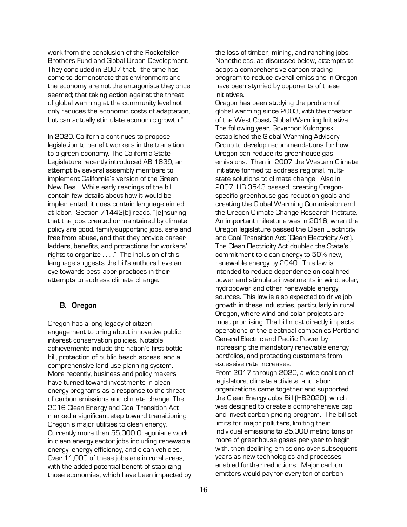work from the conclusion of the Rockefeller Brothers Fund and Global Urban Development. They concluded in 2007 that, "the time has come to demonstrate that environment and the economy are not the antagonists they once seemed; that taking action against the threat of global warming at the community level not only reduces the economic costs of adaptation, but can actually stimulate economic growth."

In 2020, California continues to propose legislation to benefit workers in the transition to a green economy. The California State Legislature recently introduced AB 1839, an attempt by several assembly members to implement California's version of the Green New Deal. While early readings of the bill contain few details about how it would be implemented, it does contain language aimed at labor. Section 71442(b) reads, "[e]nsuring that the jobs created or maintained by climate policy are good, family-supporting jobs, safe and free from abuse, and that they provide career ladders, benefits, and protections for workers' rights to organize . . . ." The inclusion of this language suggests the bill's authors have an eye towards best labor practices in their attempts to address climate change.

#### <span id="page-19-0"></span>**B. Oregon**

Oregon has a long legacy of citizen engagement to bring about innovative public interest conservation policies. Notable achievements include the nation's first bottle bill, protection of public beach access, and a comprehensive land use planning system. More recently, business and policy makers have turned toward investments in clean energy programs as a response to the threat of carbon emissions and climate change. The 2016 Clean Energy and Coal Transition Act marked a significant step toward transitioning Oregon's major utilities to clean energy. Currently more than 55,000 Oregonians work in clean energy sector jobs including renewable energy, energy efficiency, and clean vehicles. Over 11,000 of these jobs are in rural areas, with the added potential benefit of stabilizing those economies, which have been impacted by the loss of timber, mining, and ranching jobs. Nonetheless, as discussed below, attempts to adopt a comprehensive carbon trading program to reduce overall emissions in Oregon have been stymied by opponents of these initiatives.

Oregon has been studying the problem of global warming since 2003, with the creation of the West Coast Global Warming Initiative. The following year, Governor Kulongoski established the Global Warming Advisory Group to develop recommendations for how Oregon can reduce its greenhouse gas emissions. Then in 2007 the Western Climate Initiative formed to address regional, multistate solutions to climate change. Also in 2007, HB 3543 passed, creating Oregonspecific greenhouse gas reduction goals and creating the Global Warming Commission and the Oregon Climate Change Research Institute. An important milestone was in 2016, when the Oregon legislature passed the Clean Electricity and Coal Transition Act (Clean Electricity Act). The Clean Electricity Act doubled the State's commitment to clean energy to 50% new, renewable energy by 2040. This law is intended to reduce dependence on coal-fired power and stimulate investments in wind, solar, hydropower and other renewable energy sources. This law is also expected to drive job growth in these industries, particularly in rural Oregon, where wind and solar projects are most promising. The bill most directly impacts operations of the electrical companies Portland General Electric and Pacific Power by increasing the mandatory renewable energy portfolios, and protecting customers from excessive rate increases.

From 2017 through 2020, a wide coalition of legislators, climate activists, and labor organizations came together and supported the Clean Energy Jobs Bill (HB2020), which was designed to create a comprehensive cap and invest carbon pricing program. The bill set limits for major polluters, limiting their individual emissions to 25,000 metric tons or more of greenhouse gases per year to begin with, then declining emissions over subsequent years as new technologies and processes enabled further reductions. Major carbon emitters would pay for every ton of carbon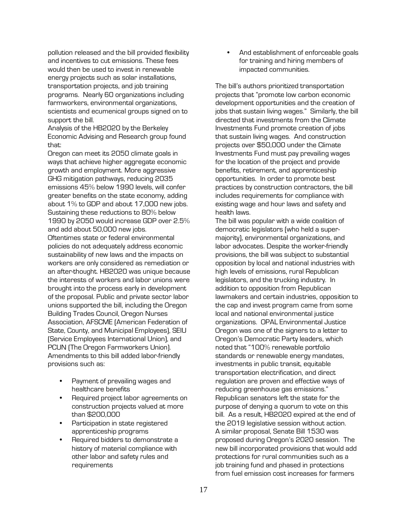pollution released and the bill provided flexibility and incentives to cut emissions. These fees would then be used to invest in renewable energy projects such as solar installations, transportation projects, and job training programs. Nearly 60 organizations including farmworkers, environmental organizations, scientists and ecumenical groups signed on to support the bill.

Analysis of the HB2020 by the Berkeley Economic Advising and Research group found that:

Oregon can meet its 2050 climate goals in ways that achieve higher aggregate economic growth and employment. More aggressive GHG mitigation pathways, reducing 2035 emissions 45% below 1990 levels, will confer greater benefits on the state economy, adding about 1% to GDP and about 17,000 new jobs. Sustaining these reductions to 80% below 1990 by 2050 would increase GDP over 2.5% and add about 50,000 new jobs. Oftentimes state or federal environmental

policies do not adequately address economic sustainability of new laws and the impacts on workers are only considered as remediation or an after-thought. HB2020 was unique because the interests of workers and labor unions were brought into the process early in development of the proposal. Public and private sector labor unions supported the bill, including the Oregon Building Trades Council, Oregon Nurses Association, AFSCME (American Federation of State, County, and Municipal Employees), SEIU (Service Employees International Union), and PCUN (The Oregon Farmworkers Union). Amendments to this bill added labor-friendly provisions such as:

- Payment of prevailing wages and healthcare benefits
- Required project labor agreements on construction projects valued at more than \$200,000
- Participation in state registered apprenticeship programs
- Required bidders to demonstrate a history of material compliance with other labor and safety rules and requirements

• And establishment of enforceable goals for training and hiring members of impacted communities.

The bill's authors prioritized transportation projects that "promote low carbon economic development opportunities and the creation of jobs that sustain living wages." Similarly, the bill directed that investments from the Climate Investments Fund promote creation of jobs that sustain living wages. And construction projects over \$50,000 under the Climate Investments Fund must pay prevailing wages for the location of the project and provide benefits, retirement, and apprenticeship opportunities. In order to promote best practices by construction contractors, the bill includes requirements for compliance with existing wage and hour laws and safety and health laws.

The bill was popular with a wide coalition of democratic legislators (who held a supermajority), environmental organizations, and labor advocates. Despite the worker-friendly provisions, the bill was subject to substantial opposition by local and national industries with high levels of emissions, rural Republican legislators, and the trucking industry. In addition to opposition from Republican lawmakers and certain industries, opposition to the cap and invest program came from some local and national environmental justice organizations. OPAL Environmental Justice Oregon was one of the signers to a letter to Oregon's Democratic Party leaders, which noted that "100% renewable portfolio standards or renewable energy mandates, investments in public transit, equitable transportation electrification, and direct regulation are proven and effective ways of reducing greenhouse gas emissions." Republican senators left the state for the purpose of denying a quorum to vote on this bill. As a result, HB2020 expired at the end of the 2019 legislative session without action. A similar proposal, Senate Bill 1530 was proposed during Oregon's 2020 session. The new bill incorporated provisions that would add protections for rural communities such as a job training fund and phased in protections from fuel emission cost increases for farmers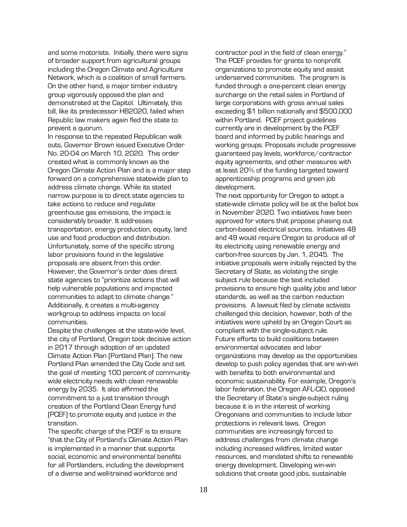and some motorists. Initially, there were signs of broader support from agricultural groups including the Oregon Climate and Agriculture Network, which is a coalition of small farmers. On the other hand, a major timber industry group vigorously opposed the plan and demonstrated at the Capitol. Ultimately, this bill, like its predecessor HB2020, failed when Republic law makers again fled the state to prevent a quorum.

In response to the repeated Republican walk outs, Governor Brown issued Executive Order No. 20-04 on March 10, 2020. This order created what is commonly known as the Oregon Climate Action Plan and is a major step forward on a comprehensive statewide plan to address climate change. While its stated narrow purpose is to direct state agencies to take actions to reduce and regulate greenhouse gas emissions, the impact is considerably broader. It addresses transportation, energy production, equity, land use and food production and distribution. Unfortunately, some of the specific strong labor provisions found in the legislative proposals are absent from this order. However, the Governor's order does direct state agencies to "prioritize actions that will help vulnerable populations and impacted communities to adapt to climate change." Additionally, it creates a multi-agency workgroup to address impacts on local communities.

Despite the challenges at the state-wide level, the city of Portland, Oregon took decisive action in 2017 through adoption of an updated Climate Action Plan (Portland Plan). The new Portland Plan amended the City Code and set the goal of meeting 100 percent of communitywide electricity needs with clean renewable energy by 2035. It also affirmed the commitment to a just transition through creation of the Portland Clean Energy fund (PCEF) to promote equity and justice in the transition.

The specific charge of the PCEF is to ensure "that the City of Portland's Climate Action Plan is implemented in a manner that supports social, economic and environmental benefits for all Portlanders, including the development of a diverse and well-trained workforce and

contractor pool in the field of clean energy." The PCEF provides for grants to nonprofit organizations to promote equity and assist underserved communities. The program is funded through a one-percent clean energy surcharge on the retail sales in Portland of large corporations with gross annual sales exceeding \$1 billion nationally and \$500,000 within Portland. PCEF project guidelines currently are in development by the PCEF board and informed by public hearings and working groups. Proposals include progressive guaranteed pay levels, workforce/contractor equity agreements, and other measures with at least 20% of the funding targeted toward apprenticeship programs and green job development.

The next opportunity for Oregon to adopt a state-wide climate policy will be at the ballot box in November 2020. Two initiatives have been approved for voters that propose phasing out carbon-based electrical sources. Initiatives 48 and 49 would require Oregon to produce all of its electricity using renewable energy and carbon-free sources by Jan. 1, 2045. The initiative proposals were initially rejected by the Secretary of State, as violating the single subject rule because the text included provisions to ensure high quality jobs and labor standards, as well as the carbon reduction provisions. A lawsuit filed by climate activists challenged this decision, however, both of the initiatives were upheld by an Oregon Court as compliant with the single-subject rule. Future efforts to build coalitions between environmental advocates and labor organizations may develop as the opportunities develop to push policy agendas that are win-win with benefits to both environmental and economic sustainability. For example, Oregon's labor federation, the Oregon AFL-CIO, opposed the Secretary of State's single-subject ruling because it is in the interest of working Oregonians and communities to include labor protections in relevant laws. Oregon communities are increasingly forced to address challenges from climate change including increased wildfires, limited water resources, and mandated shifts to renewable energy development. Developing win-win solutions that create good jobs, sustainable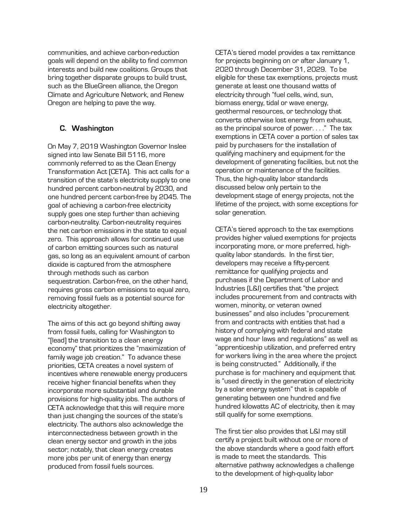communities, and achieve carbon-reduction goals will depend on the ability to find common interests and build new coalitions. Groups that bring together disparate groups to build trust, such as the BlueGreen alliance, the Oregon Climate and Agriculture Network, and Renew Oregon are helping to pave the way.

#### <span id="page-22-0"></span>**C. Washington**

On May 7, 2019 Washington Governor Inslee signed into law Senate Bill 5116, more commonly referred to as the Clean Energy Transformation Act (CETA). This act calls for a transition of the state's electricity supply to one hundred percent carbon-neutral by 2030, and one hundred percent carbon-free by 2045. The goal of achieving a carbon-free electricity supply goes one step further than achieving carbon-neutrality. Carbon-neutrality requires the net carbon emissions in the state to equal zero. This approach allows for continued use of carbon emitting sources such as natural gas, so long as an equivalent amount of carbon dioxide is captured from the atmosphere through methods such as carbon sequestration. Carbon-free, on the other hand, requires gross carbon emissions to equal zero, removing fossil fuels as a potential source for electricity altogether.

The aims of this act go beyond shifting away from fossil fuels, calling for Washington to "[lead] the transition to a clean energy economy" that prioritizes the "maximization of family wage job creation." To advance these priorities, CETA creates a novel system of incentives where renewable energy producers receive higher financial benefits when they incorporate more substantial and durable provisions for high-quality jobs. The authors of CETA acknowledge that this will require more than just changing the sources of the state's electricity. The authors also acknowledge the interconnectedness between growth in the clean energy sector and growth in the jobs sector; notably, that clean energy creates more jobs per unit of energy than energy produced from fossil fuels sources.

CETA's tiered model provides a tax remittance for projects beginning on or after January 1, 2020 through December 31, 2029. To be eligible for these tax exemptions, projects must generate at least one thousand watts of electricity through "fuel cells, wind, sun, biomass energy, tidal or wave energy, geothermal resources, or technology that converts otherwise lost energy from exhaust, as the principal source of power. . . ." The tax exemptions in CETA cover a portion of sales tax paid by purchasers for the installation of qualifying machinery and equipment for the development of generating facilities, but not the operation or maintenance of the facilities. Thus, the high-quality labor standards discussed below only pertain to the development stage of energy projects, not the lifetime of the project, with some exceptions for solar generation.

CETA's tiered approach to the tax exemptions provides higher valued exemptions for projects incorporating more, or more preferred, highquality labor standards. In the first tier, developers may receive a fifty-percent remittance for qualifying projects and purchases if the Department of Labor and Industries (L&I) certifies that "the project includes procurement from and contracts with women, minority, or veteran owned businesses" and also includes "procurement from and contracts with entities that had a history of complying with federal and state wage and hour laws and regulations" as well as "apprenticeship utilization, and preferred entry for workers living in the area where the project is being constructed." Additionally, if the purchase is for machinery and equipment that is "used directly in the generation of electricity by a solar energy system" that is capable of generating between one hundred and five hundred kilowatts AC of electricity, then it may still qualify for some exemptions.

The first tier also provides that L&I may still certify a project built without one or more of the above standards where a good faith effort is made to meet the standards. This alternative pathway acknowledges a challenge to the development of high-quality labor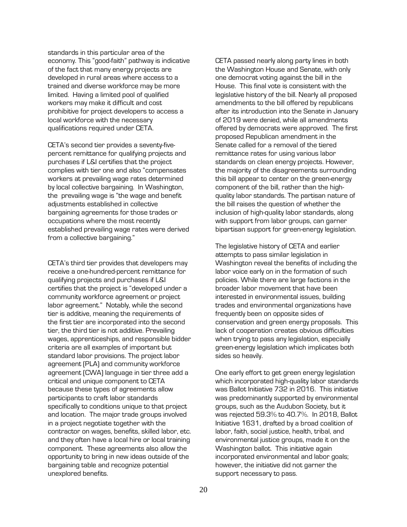standards in this particular area of the economy. This "good-faith" pathway is indicative of the fact that many energy projects are developed in rural areas where access to a trained and diverse workforce may be more limited. Having a limited pool of qualified workers may make it difficult and cost prohibitive for project developers to access a local workforce with the necessary qualifications required under CETA.

CETA's second tier provides a seventy-fivepercent remittance for qualifying projects and purchases if L&I certifies that the project complies with tier one and also "compensates workers at prevailing wage rates determined by local collective bargaining. In Washington, the prevailing wage is "the wage and benefit adjustments established in collective bargaining agreements for those trades or occupations where the most recently established prevailing wage rates were derived from a collective bargaining."

CETA's third tier provides that developers may receive a one-hundred-percent remittance for qualifying projects and purchases if L&I certifies that the project is "developed under a community workforce agreement or project labor agreement." Notably, while the second tier is additive, meaning the requirements of the first tier are incorporated into the second tier, the third tier is not additive. Prevailing wages, apprenticeships, and responsible bidder criteria are all examples of important but standard labor provisions. The project labor agreement (PLA) and community workforce agreement (CWA) language in tier three add a critical and unique component to CETA because these types of agreements allow participants to craft labor standards specifically to conditions unique to that project and location. The major trade groups involved in a project negotiate together with the contractor on wages, benefits, skilled labor, etc. and they often have a local hire or local training component. These agreements also allow the opportunity to bring in new ideas outside of the bargaining table and recognize potential unexplored benefits.

CETA passed nearly along party lines in both the Washington House and Senate, with only one democrat voting against the bill in the House. This final vote is consistent with the legislative history of the bill. Nearly all proposed amendments to the bill offered by republicans after its introduction into the Senate in January of 2019 were denied, while all amendments offered by democrats were approved. The first proposed Republican amendment in the Senate called for a removal of the tiered remittance rates for using various labor standards on clean energy projects. However, the majority of the disagreements surrounding this bill appear to center on the green-energy component of the bill, rather than the highquality labor standards. The partisan nature of the bill raises the question of whether the inclusion of high-quality labor standards, along with support from labor groups, can garner bipartisan support for green-energy legislation.

The legislative history of CETA and earlier attempts to pass similar legislation in Washington reveal the benefits of including the labor voice early on in the formation of such policies. While there are large factions in the broader labor movement that have been interested in environmental issues, building trades and environmental organizations have frequently been on opposite sides of conservation and green energy proposals. This lack of cooperation creates obvious difficulties when trying to pass any legislation, especially green-energy legislation which implicates both sides so heavily.

One early effort to get green energy legislation which incorporated high-quality labor standards was Ballot Initiative 732 in 2016. This initiative was predominantly supported by environmental groups, such as the Audubon Society, but it was rejected 59.3% to 40.7%. In 2018, Ballot Initiative 1631, drafted by a broad coalition of labor, faith, social justice, health, tribal, and environmental justice groups, made it on the Washington ballot. This initiative again incorporated environmental and labor goals; however, the initiative did not garner the support necessary to pass.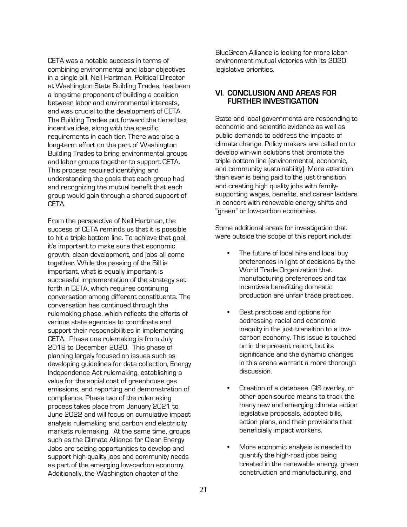CETA was a notable success in terms of combining environmental and labor objectives in a single bill. Neil Hartman, Political Director at Washington State Building Trades, has been a long-time proponent of building a coalition between labor and environmental interests, and was crucial to the development of CETA. The Building Trades put forward the tiered tax incentive idea, along with the specific requirements in each tier. There was also a long-term effort on the part of Washington Building Trades to bring environmental groups and labor groups together to support CETA. This process required identifying and understanding the goals that each group had and recognizing the mutual benefit that each group would gain through a shared support of CETA.

From the perspective of Neil Hartman, the success of CETA reminds us that it is possible to hit a triple bottom line. To achieve that goal, it's important to make sure that economic growth, clean development, and jobs all come together. While the passing of the Bill is important, what is equally important is successful implementation of the strategy set forth in CETA, which requires continuing conversation among different constituents. The conversation has continued through the rulemaking phase, which reflects the efforts of various state agencies to coordinate and support their responsibilities in implementing CETA. Phase one rulemaking is from July 2019 to December 2020. This phase of planning largely focused on issues such as developing guidelines for data collection, Energy Independence Act rulemaking, establishing a value for the social cost of greenhouse gas emissions, and reporting and demonstration of compliance. Phase two of the rulemaking process takes place from January 2021 to June 2022 and will focus on cumulative impact analysis rulemaking and carbon and electricity markets rulemaking. At the same time, groups such as the Climate Alliance for Clean Energy Jobs are seizing opportunities to develop and support high-quality jobs and community needs as part of the emerging low-carbon economy. Additionally, the Washington chapter of the

BlueGreen Alliance is looking for more laborenvironment mutual victories with its 2020 legislative priorities.

#### <span id="page-24-0"></span>**VI. CONCLUSION AND AREAS FOR FURTHER INVESTIGATION**

State and local governments are responding to economic and scientific evidence as well as public demands to address the impacts of climate change. Policy makers are called on to develop win-win solutions that promote the triple bottom line (environmental, economic, and community sustainability). More attention than ever is being paid to the just transition and creating high quality jobs with familysupporting wages, benefits, and career ladders in concert with renewable energy shifts and "green" or low-carbon economies.

Some additional areas for investigation that were outside the scope of this report include:

- The future of local hire and local buy preferences in light of decisions by the World Trade Organization that manufacturing preferences and tax incentives benefitting domestic production are unfair trade practices.
- Best practices and options for addressing racial and economic inequity in the just transition to a lowcarbon economy. This issue is touched on in the present report, but its significance and the dynamic changes in this arena warrant a more thorough discussion.
- Creation of a database, GIS overlay, or other open-source means to track the many new and emerging climate action legislative proposals, adopted bills, action plans, and their provisions that beneficially impact workers.
- More economic analysis is needed to quantify the high-road jobs being created in the renewable energy, green construction and manufacturing, and